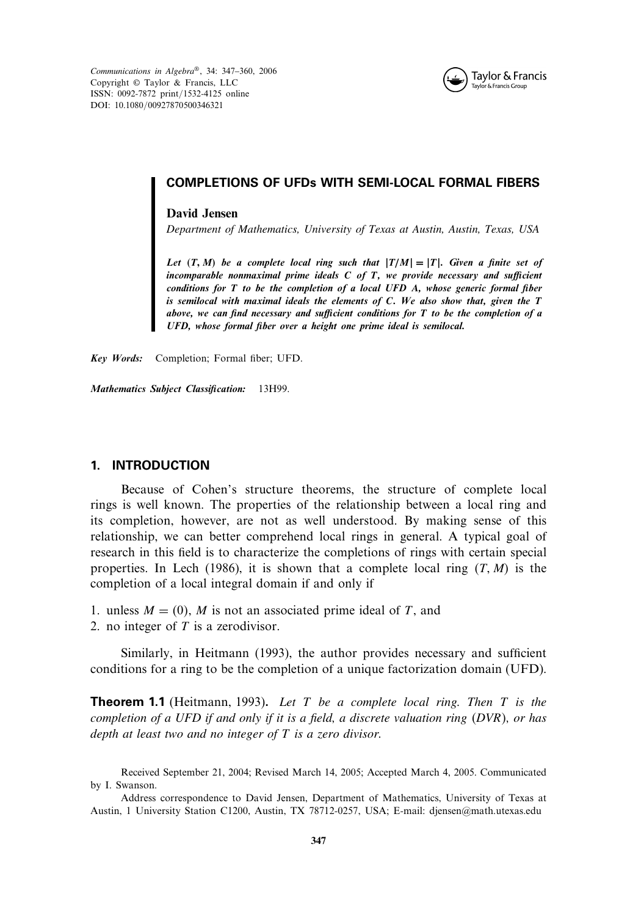*Communications in Algebra*®, 34: 347–360, 2006 Copyright © Taylor & Francis, LLC ISSN: 0092-7872 print/1532-4125 online DOI: 10.1080/00927870500346321



## COMPLETIONS OF UFDs WITH SEMI-LOCAL FORMAL FIBERS

#### **David Jensen**

*Department of Mathematics, University of Texas at Austin, Austin, Texas, USA*

*Let T- M be a complete local ring such that T/M*=*T. Given a finite set of incomparable nonmaximal prime ideals C of T, we provide necessary and sufficient conditions for T to be the completion of a local UFD A, whose generic formal fiber is semilocal with maximal ideals the elements of C. We also show that, given the T above, we can find necessary and sufficient conditions for T to be the completion of a UFD, whose formal fiber over a height one prime ideal is semilocal.*

*Key Words:* Completion; Formal fiber; UFD.

*Mathematics Subject Classification:* 13H99.

### 1. INTRODUCTION

Because of Cohen's structure theorems, the structure of complete local rings is well known. The properties of the relationship between a local ring and its completion, however, are not as well understood. By making sense of this relationship, we can better comprehend local rings in general. A typical goal of research in this field is to characterize the completions of rings with certain special properties. In Lech (1986), it is shown that a complete local ring  $(T, M)$  is the completion of a local integral domain if and only if

- 1. unless  $M = (0)$ , M is not an associated prime ideal of T, and
- 2. no integer of  $T$  is a zerodivisor.

Similarly, in Heitmann (1993), the author provides necessary and sufficient conditions for a ring to be the completion of a unique factorization domain (UFD).

Theorem 1.1 (Heitmann, 1993). *Let* T *be a complete local ring. Then* T *is the completion of a UFD if and only if it is a field, a discrete valuation ring (DVR), or has depth at least two and no integer of* T *is a zero divisor.*

Received September 21, 2004; Revised March 14, 2005; Accepted March 4, 2005. Communicated by I. Swanson.

Address correspondence to David Jensen, Department of Mathematics, University of Texas at Austin, 1 University Station C1200, Austin, TX 78712-0257, USA; E-mail: djensen@math.utexas.edu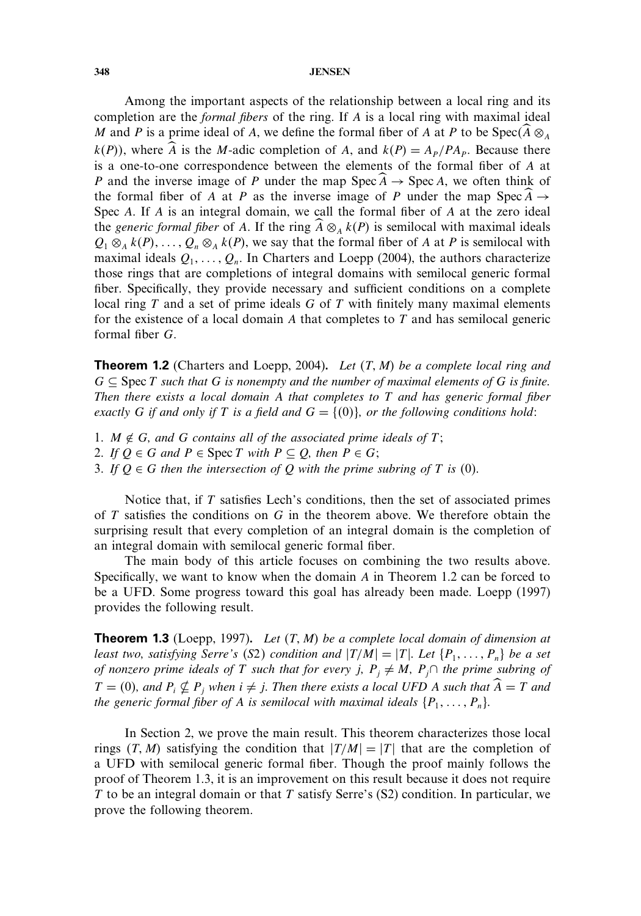Among the important aspects of the relationship between a local ring and its completion are the *formal fibers* of the ring. If A is a local ring with maximal ideal M and P is a prime ideal of A, we define the formal fiber of A at P to be  $Spec(A \otimes_A A)$  $k(P)$ , where  $\hat{A}$  is the M-adic completion of A, and  $k(P) = A_P/P_{P}$ . Because there is a one-to-one correspondence between the elements of the formal fiber of A at P and the inverse image of P under the map  $Spec A \rightarrow Spec A$ , we often think of the formal fiber of A at P as the inverse image of P under the map Spec  $A \rightarrow$ Spec A. If A is an integral domain, we call the formal fiber of A at the zero ideal the *generic formal fiber* of A. If the ring  $\widehat{A} \otimes_A k(P)$  is semilocal with maximal ideals  $Q_1 \otimes_A k(P), \ldots, Q_n \otimes_A k(P)$ , we say that the formal fiber of A at P is semilocal with maximal ideals  $Q_1, \ldots, Q_n$ . In Charters and Loepp (2004), the authors characterize those rings that are completions of integral domains with semilocal generic formal fiber. Specifically, they provide necessary and sufficient conditions on a complete local ring  $T$  and a set of prime ideals  $G$  of  $T$  with finitely many maximal elements for the existence of a local domain A that completes to  $T$  and has semilocal generic formal fiber G.

**Theorem 1.2** (Charters and Loepp, 2004). Let  $(T, M)$  be a complete local ring and  $G \subseteq \text{Spec } T$  *such that* G *is nonempty and the number of maximal elements of* G *is finite. Then there exists a local domain* A *that completes to* T *and has generic formal fiber exactly* G *if and only if* T *is a field and*  $G = \{(0)\}\text{, or the following conditions hold:$ 

- 1.  $M \notin G$ , and G contains all of the associated prime ideals of  $T$ ;
- 2. *If*  $Q \in G$  *and*  $P \in \text{Spec } T$  *with*  $P \subseteq Q$ *, then*  $P \in G$ *;*
- 3. If  $O \in G$  *then the intersection of* O *with the prime subring of* T *is* (0).

Notice that, if T satisfies Lech's conditions, then the set of associated primes of  $T$  satisfies the conditions on  $G$  in the theorem above. We therefore obtain the surprising result that every completion of an integral domain is the completion of an integral domain with semilocal generic formal fiber.

The main body of this article focuses on combining the two results above. Specifically, we want to know when the domain A in Theorem 1.2 can be forced to be a UFD. Some progress toward this goal has already been made. Loepp (1997) provides the following result.

**Theorem 1.3** (Loepp, 1997). Let  $(T, M)$  be a complete local domain of dimension at *least two, satisfying Serre's* (S2) condition and  $|T/M|=|T|$ . Let  $\{P_1,\ldots,P_n\}$  be a set *of nonzero prime ideals of* T *such that for every* j,  $P_i \neq M$ ,  $P_j \cap$  *the prime subring of*  $T = (0)$ , and  $P_i \nsubseteq P_j$  when  $i \neq j$ . Then there exists a local UFD A such that  $\widehat{A} = T$  and *the generic formal fiber of A is semilocal with maximal ideals*  $\{P_1, \ldots, P_n\}$ .

In Section 2, we prove the main result. This theorem characterizes those local rings  $(T, M)$  satisfying the condition that  $|T/M|=|T|$  that are the completion of a UFD with semilocal generic formal fiber. Though the proof mainly follows the proof of Theorem 1.3, it is an improvement on this result because it does not require T to be an integral domain or that  $T$  satisfy Serre's (S2) condition. In particular, we prove the following theorem.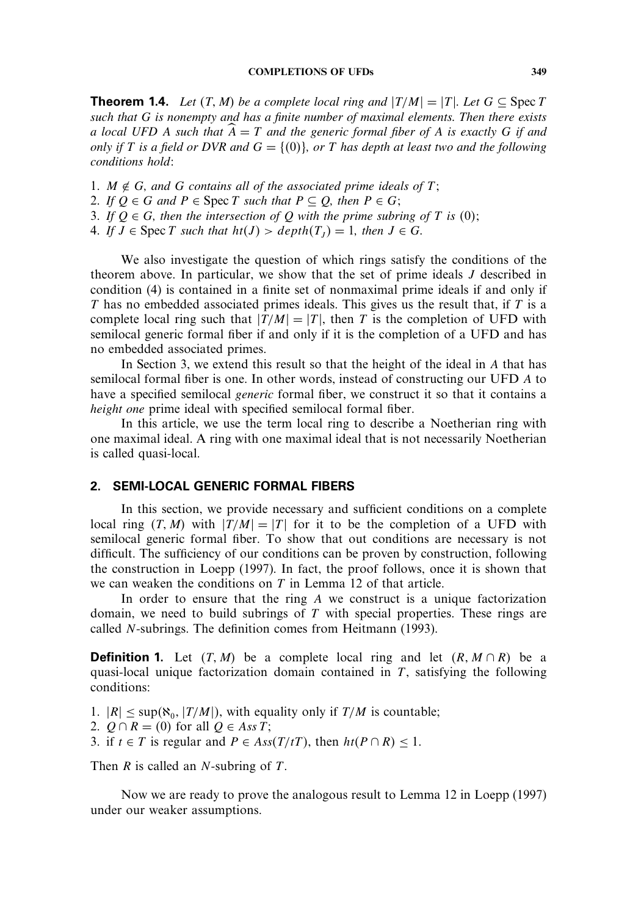**Theorem 1.4.** *Let*  $(T, M)$  *be a complete local ring and*  $|T/M| = |T|$ *. Let*  $G \subseteq$  Spec T *such that* G *is nonempty and has a finite number of maximal elements. Then there exists a local UFD* A such that  $\hat{A} = T$  and the generic formal fiber of A is exactly G if and *only if* T is a field or DVR and  $G = \{(0)\}\$ , or T has depth at least two and the following *conditions hold:*

- 1.  $M \notin G$ , and G contains all of the associated prime ideals of  $T$ ;
- 2. *If*  $Q \in G$  *and*  $P \in \text{Spec } T$  *such that*  $P \subset Q$ *, then*  $P \in G$ *;*
- 3. If  $Q \in G$ , then the intersection of Q with the prime subring of T is (0);
- 4. If  $J \in \text{Spec } T$  such that  $ht(J) > depth(T_I) = 1$ , then  $J \in G$ .

We also investigate the question of which rings satisfy the conditions of the theorem above. In particular, we show that the set of prime ideals J described in condition (4) is contained in a finite set of nonmaximal prime ideals if and only if  $T$  has no embedded associated primes ideals. This gives us the result that, if  $T$  is a complete local ring such that  $|T/M|=|T|$ , then T is the completion of UFD with semilocal generic formal fiber if and only if it is the completion of a UFD and has no embedded associated primes.

In Section 3, we extend this result so that the height of the ideal in A that has semilocal formal fiber is one. In other words, instead of constructing our UFD A to have a specified semilocal *generic* formal fiber, we construct it so that it contains a *height one* prime ideal with specified semilocal formal fiber.

In this article, we use the term local ring to describe a Noetherian ring with one maximal ideal. A ring with one maximal ideal that is not necessarily Noetherian is called quasi-local.

# 2. SEMI-LOCAL GENERIC FORMAL FIBERS

In this section, we provide necessary and sufficient conditions on a complete local ring  $(T, M)$  with  $|T/M| = |T|$  for it to be the completion of a UFD with semilocal generic formal fiber. To show that out conditions are necessary is not difficult. The sufficiency of our conditions can be proven by construction, following the construction in Loepp (1997). In fact, the proof follows, once it is shown that we can weaken the conditions on T in Lemma 12 of that article.

In order to ensure that the ring  $A$  we construct is a unique factorization domain, we need to build subrings of  $T$  with special properties. These rings are called N-subrings. The definition comes from Heitmann (1993).

**Definition 1.** Let  $(T, M)$  be a complete local ring and let  $(R, M \cap R)$  be a quasi-local unique factorization domain contained in  $T$ , satisfying the following conditions:

1.  $|R| \leq \sup(\aleph_0, |T/M|)$ , with equality only if  $T/M$  is countable;

- 2.  $Q \cap R = (0)$  for all  $Q \in Ass T$ ;
- 3. if *t* ∈ *T* is regular and *P* ∈ *Ass*(*T*/*tT*), then  $ht(P \cap R) \le 1$ .

Then  $R$  is called an  $N$ -subring of  $T$ .

Now we are ready to prove the analogous result to Lemma 12 in Loepp (1997) under our weaker assumptions.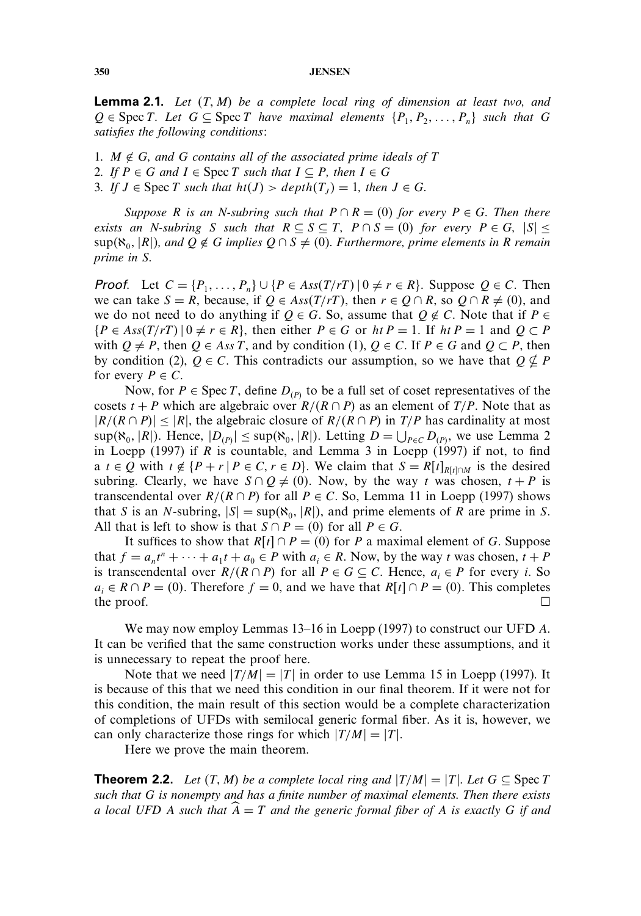**Lemma 2.1.** Let  $(T, M)$  be a complete local ring of dimension at least two, and  $Q \in \text{Spec } T$ . Let  $G \subseteq \text{Spec } T$  have maximal elements  $\{P_1, P_2, \ldots, P_n\}$  such that G *satisfies the following conditions:*

1.  $M \notin G$ , and G contains all of the associated prime ideals of T

- *2. If*  $P \in G$  *and*  $I \in \text{Spec } T$  *such that*  $I \subseteq P$ *, then*  $I \in G$
- *3. If*  $J \in \text{Spec } T$  *such that*  $ht(J) > depth(T_J) = 1$ *, then*  $J \in G$ *.*

*Suppose* R *is an N-subring such that*  $P \cap R = (0)$  *for every*  $P \in G$ *. Then there exists an N-subring* S *such that*  $R \subseteq S \subseteq T$ ,  $P \cap S = (0)$  *for every*  $P \in G$ ,  $|S| \le$  $\sup(\aleph_0, |R|)$ , and  $Q \notin G$  implies  $Q \cap S \neq (0)$ . Furthermore, prime elements in R remain *prime in* S*.*

**Proof.** Let  $C = \{P_1, \ldots, P_n\} \cup \{P \in Ass(T/rT) | 0 \neq r \in R\}$ . Suppose  $Q \in C$ . Then we can take  $S = R$ , because, if  $Q \in Ass(T/rT)$ , then  $r \in Q \cap R$ , so  $Q \cap R \neq (0)$ , and we do not need to do anything if  $Q \in G$ . So, assume that  $Q \notin C$ . Note that if  $P \in$  $\{P \in Ass(T/rT) \mid 0 \neq r \in R\}$ , then either  $P \in G$  or  $ht P = 1$ . If  $ht P = 1$  and  $Q \subset P$ with  $Q \neq P$ , then  $Q \in Ass T$ , and by condition (1),  $Q \in C$ . If  $P \in G$  and  $Q \subset P$ , then by condition (2),  $Q \in \mathbb{C}$ . This contradicts our assumption, so we have that  $Q \nsubseteq P$ for every  $P \in C$ .

Now, for  $P \in \text{Spec } T$ , define  $D_{(P)}$  to be a full set of coset representatives of the cosets  $t + P$  which are algebraic over  $R/(R \cap P)$  as an element of  $T/P$ . Note that as  $|R/(R \cap P)| \leq |R|$ , the algebraic closure of  $R/(R \cap P)$  in  $T/P$  has cardinality at most  $\sup_{P \in \mathcal{C}} (\aleph_0, |R|)$ . Hence,  $|D_{(P)}| \leq \sup(\aleph_0, |R|)$ . Letting  $D = \bigcup_{P \in \mathcal{C}} D_{(P)}$ , we use Lemma 2 in Loepp (1997) if  $R$  is countable, and Lemma 3 in Loepp (1997) if not, to find a  $t \in Q$  with  $t \notin \{P + r \mid P \in C, r \in D\}$ . We claim that  $S = R[t]_{R[t] \cap M}$  is the desired subring. Clearly, we have  $S \cap Q \neq (0)$ . Now, by the way t was chosen,  $t + P$  is transcendental over  $R/(R \cap P)$  for all  $P \in C$ . So, Lemma 11 in Loepp (1997) shows that S is an N-subring,  $|S| = \sup(\aleph_0, |R|)$ , and prime elements of R are prime in S. All that is left to show is that  $S \cap P = (0)$  for all  $P \in G$ .

It suffices to show that  $R[t] \cap P = (0)$  for P a maximal element of G. Suppose that  $f = a_n t^n + \cdots + a_1 t + a_0 \in P$  with  $a_i \in R$ . Now, by the way t was chosen,  $t + P$ is transcendental over  $R/(R \cap P)$  for all  $P \in G \subseteq C$ . Hence,  $a_i \in P$  for every i. So  $a_i \in R \cap P = (0)$ . Therefore  $f = 0$ , and we have that  $R[t] \cap P = (0)$ . This completes the proof.

We may now employ Lemmas 13–16 in Loepp (1997) to construct our UFD A. It can be verified that the same construction works under these assumptions, and it is unnecessary to repeat the proof here.

Note that we need  $|T/M|=|T|$  in order to use Lemma 15 in Loepp (1997). It is because of this that we need this condition in our final theorem. If it were not for this condition, the main result of this section would be a complete characterization of completions of UFDs with semilocal generic formal fiber. As it is, however, we can only characterize those rings for which  $|T/M|=|T|$ .

Here we prove the main theorem.

**Theorem 2.2.** *Let*  $(T, M)$  *be a complete local ring and*  $|T/M| = |T|$ *. Let*  $G \subseteq$  Spec T *such that* G *is nonempty and has a finite number of maximal elements. Then there exists a local UFD* A *such that* A = T *and the generic formal fiber of* A *is exactly* G *if and*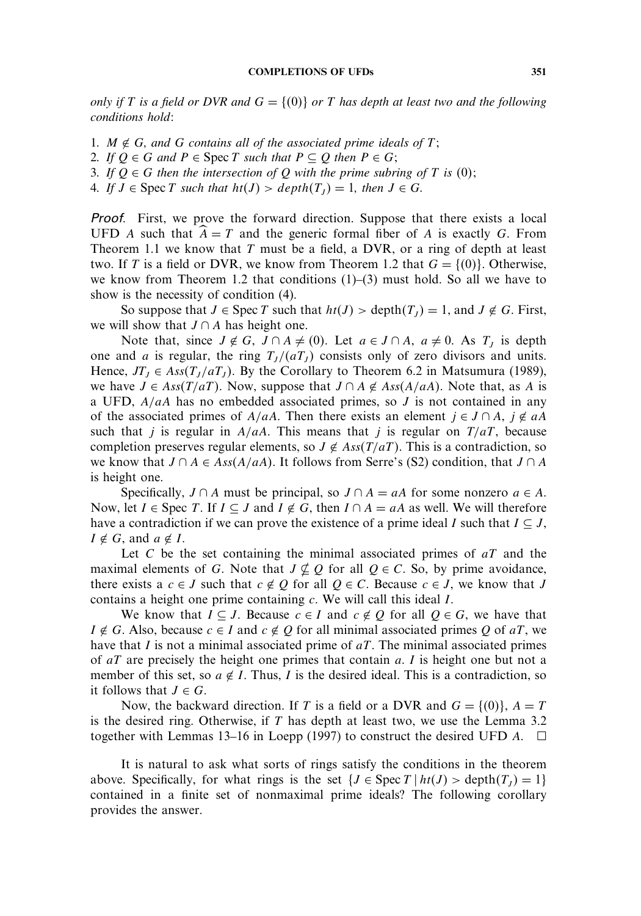#### **COMPLETIONS OF UFDs 351**

*only if* T *is a field or DVR and*  $G = \{(0)\}$  *or* T *has depth at least two and the following conditions hold:*

- 1.  $M \notin G$ *, and*  $G$  *contains all of the associated prime ideals of*  $T$ *;*
- *2. If*  $Q ∈ G$  *and*  $P ∈ \text{Spec } T$  *such that*  $P ⊆ Q$  *then*  $P ∈ G$ *;*
- *3. If*  $Q \in G$  *then the intersection of*  $Q$  *with the prime subring of*  $T$  *is* (0);
- *4. If*  $J \in \text{Spec } T$  *such that*  $ht(J) > depth(T_J) = 1$ *, then*  $J \in G$ *.*

Proof. First, we prove the forward direction. Suppose that there exists a local UFD A such that  $\hat{A} = T$  and the generic formal fiber of A is exactly G. From Theorem 1.1 we know that  $T$  must be a field, a DVR, or a ring of depth at least two. If T is a field or DVR, we know from Theorem 1.2 that  $G = \{(0)\}\)$ . Otherwise, we know from Theorem 1.2 that conditions  $(1)$ – $(3)$  must hold. So all we have to show is the necessity of condition (4).

So suppose that  $J \in \text{Spec } T$  such that  $ht(J) > \text{depth}(T_I) = 1$ , and  $J \notin G$ . First, we will show that  $J \cap A$  has height one.

Note that, since  $J \notin G$ ,  $J \cap A \neq (0)$ . Let  $a \in J \cap A$ ,  $a \neq 0$ . As  $T<sub>I</sub>$  is depth one and a is regular, the ring  $T_I/(aT_I)$  consists only of zero divisors and units. Hence,  $JT_t \in Ass(T_1/aT_1)$ . By the Corollary to Theorem 6.2 in Matsumura (1989), we have  $J \in Ass(T/aT)$ . Now, suppose that  $J \cap A \notin Ass(A/aA)$ . Note that, as A is a UFD,  $A/aA$  has no embedded associated primes, so J is not contained in any of the associated primes of  $A/aA$ . Then there exists an element  $j \in J \cap A$ ,  $j \notin aA$ such that j is regular in  $A/aA$ . This means that j is regular on  $T/aT$ , because completion preserves regular elements, so  $J \notin Ass(T/aT)$ . This is a contradiction, so we know that  $J \cap A \in Ass(A/aA)$ . It follows from Serre's (S2) condition, that  $J \cap A$ is height one.

Specifically,  $J \cap A$  must be principal, so  $J \cap A = aA$  for some nonzero  $a \in A$ . Now, let  $I \in \text{Spec } T$ . If  $I \subseteq J$  and  $I \notin G$ , then  $I \cap A = aA$  as well. We will therefore have a contradiction if we can prove the existence of a prime ideal I such that  $I \subseteq J$ ,  $I \notin G$ , and  $a \notin I$ .

Let  $C$  be the set containing the minimal associated primes of  $aT$  and the maximal elements of G. Note that  $J \nsubseteq Q$  for all  $Q \in C$ . So, by prime avoidance, there exists a  $c \in J$  such that  $c \notin Q$  for all  $Q \in C$ . Because  $c \in J$ , we know that J contains a height one prime containing c. We will call this ideal I.

We know that  $I \subseteq J$ . Because  $c \in I$  and  $c \notin Q$  for all  $Q \in G$ , we have that  $I \notin G$ . Also, because  $c \in I$  and  $c \notin Q$  for all minimal associated primes Q of aT, we have that I is not a minimal associated prime of  $aT$ . The minimal associated primes of  $aT$  are precisely the height one primes that contain a. I is height one but not a member of this set, so  $a \notin I$ . Thus, I is the desired ideal. This is a contradiction, so it follows that  $J \in G$ .

Now, the backward direction. If T is a field or a DVR and  $G = \{(0)\}\)$ ,  $A = T$ is the desired ring. Otherwise, if  $T$  has depth at least two, we use the Lemma 3.2 together with Lemmas 13–16 in Loepp (1997) to construct the desired UFD  $A$ .  $\square$ 

It is natural to ask what sorts of rings satisfy the conditions in the theorem above. Specifically, for what rings is the set  $\{J \in \text{Spec } T \mid ht(J) > \text{depth}(T_I) = 1\}$ contained in a finite set of nonmaximal prime ideals? The following corollary provides the answer.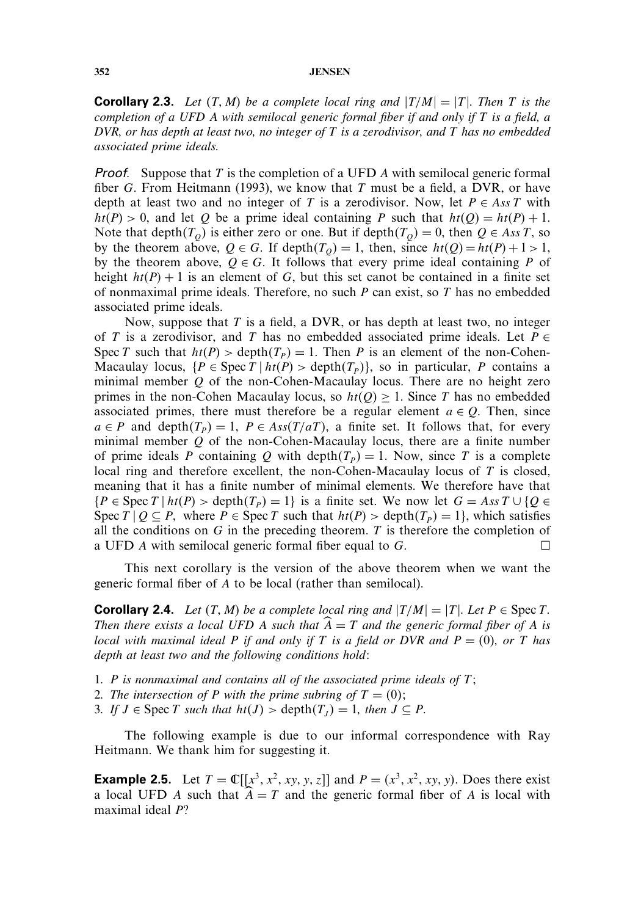**Corollary 2.3.** Let  $(T, M)$  be a complete local ring and  $|T/M| = |T|$ . Then T is the *completion of a UFD* A *with semilocal generic formal fiber if and only if* T *is a field, a DVR, or has depth at least two, no integer of* T *is a zerodivisor, and* T *has no embedded associated prime ideals.*

**Proof.** Suppose that T is the completion of a UFD A with semilocal generic formal fiber G. From Heitmann (1993), we know that T must be a field, a DVR, or have depth at least two and no integer of T is a zerodivisor. Now, let  $P \in Ass T$  with  $ht(P) > 0$ , and let Q be a prime ideal containing P such that  $ht(Q) = ht(P) + 1$ . Note that depth $(T<sub>O</sub>)$  is either zero or one. But if depth $(T<sub>O</sub>) = 0$ , then  $Q \in Ass T$ , so by the theorem above,  $Q \in G$ . If depth $(T<sub>O</sub>) = 1$ , then, since  $ht(Q) = ht(P) + 1 > 1$ , by the theorem above,  $O \in G$ . It follows that every prime ideal containing P of height  $ht(P) + 1$  is an element of G, but this set canot be contained in a finite set of nonmaximal prime ideals. Therefore, no such  $P$  can exist, so  $T$  has no embedded associated prime ideals.

Now, suppose that  $T$  is a field, a DVR, or has depth at least two, no integer of T is a zerodivisor, and T has no embedded associated prime ideals. Let  $P \in$ Spec T such that  $ht(P) > depth(T_P) = 1$ . Then P is an element of the non-Cohen-Macaulay locus,  $\{P \in \text{Spec } T \mid ht(P) > depth(T_P)\}, \text{ so in particular, } P \text{ contains a }$ minimal member Q of the non-Cohen-Macaulay locus. There are no height zero primes in the non-Cohen Macaulay locus, so  $ht(Q) \geq 1$ . Since T has no embedded associated primes, there must therefore be a regular element  $a \in Q$ . Then, since  $a \in P$  and depth $(T_P) = 1$ ,  $P \in Ass(T/aT)$ , a finite set. It follows that, for every minimal member  $Q$  of the non-Cohen-Macaulay locus, there are a finite number of prime ideals P containing Q with depth $(T_P) = 1$ . Now, since T is a complete local ring and therefore excellent, the non-Cohen-Macaulay locus of T is closed, meaning that it has a finite number of minimal elements. We therefore have that  $\{P \in \text{Spec } T \mid ht(P) > depth(T_P) = 1\}$  is a finite set. We now let  $G = Ass T \cup \{Q \in T\}$ Spec  $T | Q \subseteq P$ , where  $P \in \text{Spec } T$  such that  $ht(P) > depth(T_P) = 1$ , which satisfies all the conditions on  $G$  in the preceding theorem.  $T$  is therefore the completion of a UFD A with semilocal generic formal fiber equal to  $G$ .

This next corollary is the version of the above theorem when we want the generic formal fiber of A to be local (rather than semilocal).

**Corollary 2.4.** *Let*  $(T, M)$  *be a complete local ring and*  $|T/M| = |T|$ *. Let*  $P \in \text{Spec } T$ *. Then there exists a local UFD A such that*  $\widehat{A} = T$  *and the generic formal fiber of* A *is local with maximal ideal* P *if and only if* T *is a field or DVR and*  $P = (0)$ *, or* T *has depth at least two and the following conditions hold:*

- *1.* P *is nonmaximal and contains all of the associated prime ideals of* T*;*
- 2. The intersection of P with the prime subring of  $T = (0)$ ;
- *3. If*  $J \in \text{Spec } T$  *such that*  $ht(J) > depth(T_I) = 1$ *, then*  $J \subseteq P$ *.*

The following example is due to our informal correspondence with Ray Heitmann. We thank him for suggesting it.

**Example 2.5.** Let  $T = \mathbb{C}[[x^3, x^2, xy, y, z]]$  and  $P = (x^3, x^2, xy, y)$ . Does there exist a local UFD A such that  $\hat{A} = T$  and the generic formal fiber of A is local with maximal ideal P?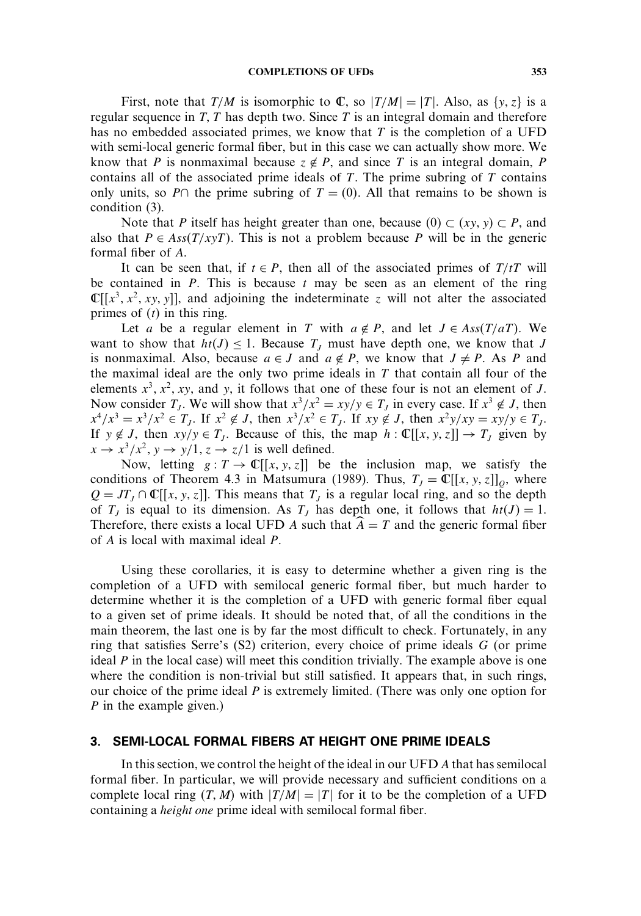First, note that  $T/M$  is isomorphic to  $\mathbb{C}$ , so  $|T/M|=|T|$ . Also, as  $\{y, z\}$  is a regular sequence in  $T$ ,  $T$  has depth two. Since  $T$  is an integral domain and therefore has no embedded associated primes, we know that  $T$  is the completion of a UFD with semi-local generic formal fiber, but in this case we can actually show more. We know that P is nonmaximal because  $z \notin P$ , and since T is an integral domain, P contains all of the associated prime ideals of  $T$ . The prime subring of  $T$  contains only units, so P∩ the prime subring of  $T = (0)$ . All that remains to be shown is condition (3).

Note that P itself has height greater than one, because  $(0) \subset (xy, y) \subset P$ , and also that  $P \in Ass(T/xyT)$ . This is not a problem because P will be in the generic formal fiber of A.

It can be seen that, if  $t \in P$ , then all of the associated primes of  $T/tT$  will be contained in  $P$ . This is because  $t$  may be seen as an element of the ring  $\mathbb{C}[[x^3, x^2, xy, y]],$  and adjoining the indeterminate z will not alter the associated primes of  $(t)$  in this ring.

Let a be a regular element in T with  $a \notin P$ , and let  $J \in Ass(T/aT)$ . We want to show that  $ht(J) \leq 1$ . Because  $T<sub>J</sub>$  must have depth one, we know that J is nonmaximal. Also, because  $a \in J$  and  $a \notin P$ , we know that  $J \neq P$ . As P and the maximal ideal are the only two prime ideals in  $T$  that contain all four of the elements  $x^3$ ,  $x^2$ , xy, and y, it follows that one of these four is not an element of J. Now consider  $T_J$ . We will show that  $x^3/x^2 = xy/y \in T_J$  in every case. If  $x^3 \notin J$ , then  $x^4/x^3 = x^3/x^2 \in T_J$ . If  $x^2 \notin J$ , then  $x^3/x^2 \in T_J$ . If  $xy \notin J$ , then  $x^2y/xy = xy/y \in T_J$ . If  $y \notin J$ , then  $xy/y \in T_J$ . Because of this, the map  $h : \mathbb{C}[[x, y, z]] \to T_J$  given by  $x \to x^3/x^2$ ,  $y \to y/1$ ,  $z \to z/1$  is well defined.

Now, letting  $g: T \to \mathbb{C}[[x, y, z]]$  be the inclusion map, we satisfy the conditions of Theorem 4.3 in Matsumura (1989). Thus,  $T_j = \mathbb{C}[[x, y, z]]_Q$ , where  $Q = JT_J \cap \mathbb{C}[[x, y, z]]$ . This means that  $T_J$  is a regular local ring, and so the depth of  $T_j$  is equal to its dimension. As  $T_j$  has depth one, it follows that  $ht(J) = 1$ . Therefore, there exists a local UFD A such that  $\hat{A} = T$  and the generic formal fiber of A is local with maximal ideal P.

Using these corollaries, it is easy to determine whether a given ring is the completion of a UFD with semilocal generic formal fiber, but much harder to determine whether it is the completion of a UFD with generic formal fiber equal to a given set of prime ideals. It should be noted that, of all the conditions in the main theorem, the last one is by far the most difficult to check. Fortunately, in any ring that satisfies Serre's  $(S2)$  criterion, every choice of prime ideals G (or prime ideal  $P$  in the local case) will meet this condition trivially. The example above is one where the condition is non-trivial but still satisfied. It appears that, in such rings, our choice of the prime ideal  $P$  is extremely limited. (There was only one option for P in the example given.)

## 3. SEMI-LOCAL FORMAL FIBERS AT HEIGHT ONE PRIME IDEALS

In this section, we control the height of the ideal in our UFD A that has semilocal formal fiber. In particular, we will provide necessary and sufficient conditions on a complete local ring  $(T, M)$  with  $|T/M| = |T|$  for it to be the completion of a UFD containing a *height one* prime ideal with semilocal formal fiber.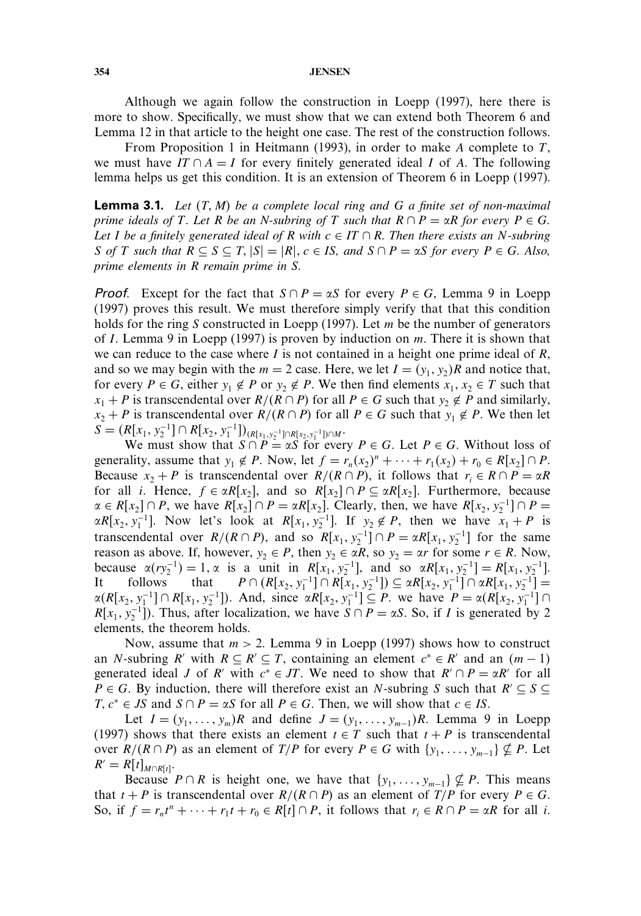Although we again follow the construction in Loepp (1997), here there is more to show. Specifically, we must show that we can extend both Theorem 6 and Lemma 12 in that article to the height one case. The rest of the construction follows.

From Proposition 1 in Heitmann (1993), in order to make A complete to  $T$ , we must have IT  $\cap A = I$  for every finitely generated ideal I of A. The following lemma helps us get this condition. It is an extension of Theorem 6 in Loepp (1997).

**Lemma 3.1.** Let  $(T, M)$  be a complete local ring and G a finite set of non-maximal *prime ideals of*  $T$ *. Let*  $R$  *be an*  $N$ -subring of  $T$  *such that*  $R \cap P = \alpha R$  *for every*  $P \in G$ *. Let I be a finitely generated ideal of*  $R$  *with*  $c \in IT \cap R$ *. Then there exists an* N-subring S of T such that  $R \subseteq S \subseteq T$ ,  $|S| = |R|$ ,  $c \in IS$ , and  $S \cap P = \alpha S$  for every  $P \in G$ . Also, *prime elements in* R *remain prime in* S*.*

**Proof.** Except for the fact that  $S \cap P = \alpha S$  for every  $P \in G$ , Lemma 9 in Loepp (1997) proves this result. We must therefore simply verify that that this condition holds for the ring S constructed in Loepp (1997). Let  $m$  be the number of generators of I. Lemma 9 in Loepp (1997) is proven by induction on  $m$ . There it is shown that we can reduce to the case where I is not contained in a height one prime ideal of  $R$ , and so we may begin with the  $m = 2$  case. Here, we let  $I = (y_1, y_2)R$  and notice that, for every  $P \in G$ , either  $y_1 \notin P$  or  $y_2 \notin P$ . We then find elements  $x_1, x_2 \in T$  such that  $x_1 + P$  is transcendental over  $R/(R \cap P)$  for all  $P \in G$  such that  $y_2 \notin P$  and similarly,  $x_2 + P$  is transcendental over  $R/(R \cap P)$  for all  $P \in G$  such that  $y_1 \notin P$ . We then let  $S = (R[x_1, y_2^{-1}] ∩ R[x_2, y_1^{-1}])_{(R[x_1, y_2^{-1}] ∩ R[x_2, y_1^{-1}]) ∩ M}.$ 

We must show that  $S \cap P = \alpha S$  for every  $P \in G$ . Let  $P \in G$ . Without loss of generality, assume that  $y_1 \notin P$ . Now, let  $f = r_n(x_2)^n + \cdots + r_1(x_2) + r_0 \in R[x_2] \cap P$ . Because  $x_2 + P$  is transcendental over  $R/(R \cap P)$ , it follows that  $r_i \in R \cap P = \alpha R$ for all *i*. Hence,  $f \in \alpha R[x_2]$ , and so  $R[x_2] \cap P \subseteq \alpha R[x_2]$ . Furthermore, because  $\alpha \in R[x_2] \cap P$ , we have  $R[x_2] \cap P = \alpha R[x_2]$ . Clearly, then, we have  $R[x_2, y_2^{-1}] \cap P =$  $\alpha R[x_2, y_1^{-1}]$ . Now let's look at  $R[x_1, y_2^{-1}]$ . If  $y_2 \notin P$ , then we have  $x_1 + P$  is transcendental over  $R/(R \cap P)$ , and so  $R[x_1, y_2^{-1}] \cap P = \alpha R[x_1, y_2^{-1}]$  for the same reason as above. If, however,  $y_2 \in P$ , then  $y_2 \in \alpha R$ , so  $y_2 = \alpha r$  for some  $r \in R$ . Now, because  $\alpha(ry_2^{-1}) = 1, \alpha$  is a unit in  $R[x_1, y_2^{-1}]$ , and so  $\alpha R[x_1, y_2^{-1}] = R[x_1, y_2^{-1}]$ . It follows that  $P \cap (R[x_2, y_1^{-1}] \cap R[x_1, y_2^{-1}]) \subseteq \alpha R[x_2, y_1^{-1}] \cap \alpha R[x_1, y_2^{-1}] =$  $\alpha(R[x_2, y_1^{-1}] \cap R[x_1, y_2^{-1}])$ . And, since  $\alpha R[x_2, y_1^{-1}] \subseteq P$ . we have  $P = \alpha(R[x_2, y_1^{-1}] \cap R[x_1, y_2^{-1}]$ .  $R[x_1, y_2^{-1}]$ ). Thus, after localization, we have  $S \cap P = \alpha S$ . So, if *I* is generated by 2 elements, the theorem holds.

Now, assume that  $m > 2$ . Lemma 9 in Loepp (1997) shows how to construct an N-subring R' with  $R \subseteq R' \subseteq T$ , containing an element  $c^* \in R'$  and an  $(m-1)$ generated ideal *J* of *R'* with  $c^* \in JT$ . We need to show that  $R' \cap P = \alpha R'$  for all  $P \in G$ . By induction, there will therefore exist an N-subring S such that  $R' \subseteq S \subseteq$  $T, c^* \in JS$  and  $S \cap P = \alpha S$  for all  $P \in G$ . Then, we will show that  $c \in IS$ .

Let  $I = (y_1, \ldots, y_m)R$  and define  $J = (y_1, \ldots, y_{m-1})R$ . Lemma 9 in Loepp (1997) shows that there exists an element  $t \in T$  such that  $t + P$  is transcendental over  $R/(R \cap P)$  as an element of  $T/P$  for every  $P \in G$  with  $\{y_1, \ldots, y_{m-1}\} \nsubseteq P$ . Let  $R' = R[t]_{M \cap R[t]}$ .

Because  $P \cap R$  is height one, we have that  $\{y_1, \ldots, y_{m-1}\} \nsubseteq P$ . This means that  $t + P$  is transcendental over  $R/(R \cap P)$  as an element of  $T/P$  for every  $P \in G$ . So, if  $f = r_n t^n + \cdots + r_1 t + r_0 \in R[t] \cap P$ , it follows that  $r_i \in R \cap P = \alpha R$  for all *i*.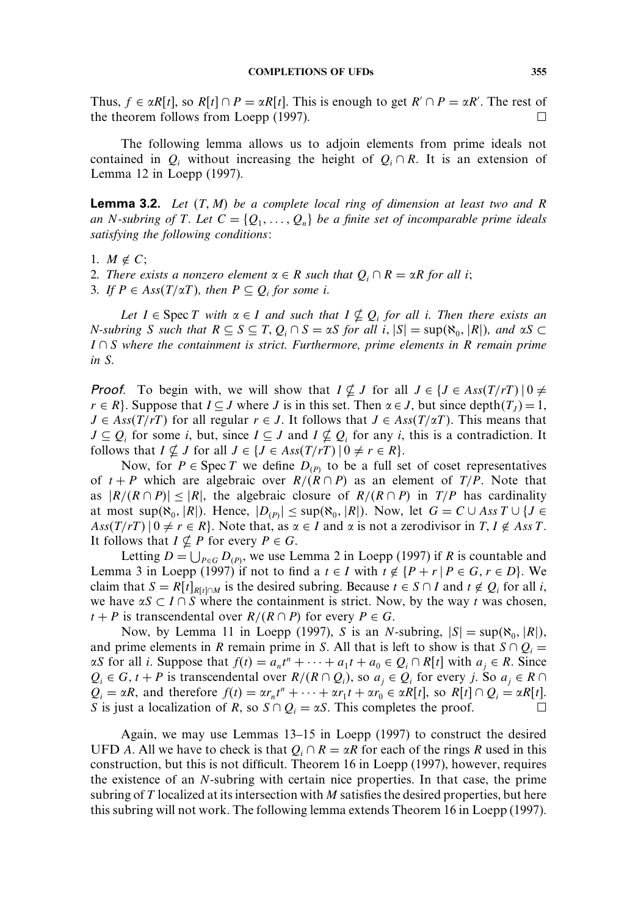Thus,  $f \in \alpha R[t]$ , so  $R[t] \cap P = \alpha R[t]$ . This is enough to get  $R' \cap P = \alpha R'$ . The rest of the theorem follows from Loepp (1997).  $\Box$ 

The following lemma allows us to adjoin elements from prime ideals not contained in  $Q_i$  without increasing the height of  $Q_i \cap R$ . It is an extension of Lemma 12 in Loepp (1997).

**Lemma 3.2.** Let  $(T, M)$  be a complete local ring of dimension at least two and R *an* N-subring of T. Let  $C = \{Q_1, \ldots, Q_n\}$  be a finite set of incomparable prime ideals *satisfying the following conditions:*

- 1.  $M \notin C$ ;
- 2. There exists a nonzero element  $\alpha \in R$  such that  $Q_i \cap R = \alpha R$  for all *i*;
- 3. If  $P \in Ass(T/\alpha T)$ , then  $P \subseteq Q_i$  for some *i*.

Let  $I \in \text{Spec } T$  with  $\alpha \in I$  and such that  $I \nsubseteq Q_i$  for all i. Then there exists an *N*-subring *S* such that  $R \subseteq S \subseteq T$ ,  $Q_i \cap S = \alpha S$  for all i,  $|S| = \sup(\aleph_0, |R|)$ , and  $\alpha S \subset$ I ∩ S *where the containment is strict. Furthermore, prime elements in* R *remain prime in* S*.*

**Proof.** To begin with, we will show that  $I \nsubseteq J$  for all  $J \in \{J \in Ass(T/rT) \mid 0 \neq J\}$  $r \in R$ . Suppose that  $I \subseteq J$  where J is in this set. Then  $\alpha \in J$ , but since depth $(T_J) = 1$ ,  $J \in Ass(T/rT)$  for all regular  $r \in J$ . It follows that  $J \in Ass(T/\alpha T)$ . This means that  $J \subseteq Q_i$  for some i, but, since  $I \subseteq J$  and  $I \nsubseteq Q_i$  for any i, this is a contradiction. It follows that  $I \nsubseteq J$  for all  $J \in \{J \in Ass(T/rT) \mid 0 \neq r \in R\}.$ 

Now, for  $P \in \text{Spec } T$  we define  $D_{(P)}$  to be a full set of coset representatives of  $t + P$  which are algebraic over  $R/(R \cap P)$  as an element of  $T/P$ . Note that as  $|R/(R \cap P)| \leq |R|$ , the algebraic closure of  $R/(R \cap P)$  in  $T/P$  has cardinality at most sup $(\aleph_0, |R|)$ . Hence,  $|D_{(P)}| \leq \sup(\aleph_0, |R|)$ . Now, let  $G = C \cup Ass T \cup \{J \in \mathbb{R} \}$  $\text{Ass}(T/rT) \mid 0 \neq r \in R$ . Note that, as  $\alpha \in I$  and  $\alpha$  is not a zerodivisor in  $T, I \notin \text{Ass } T$ . It follows that  $I \nsubseteq P$  for every  $P \in G$ .

Letting  $D = \bigcup_{P \in G} D_{(P)}$ , we use Lemma 2 in Loepp (1997) if R is countable and Lemma 3 in Loepp (1997) if not to find a  $t \in I$  with  $t \notin \{P + r \mid P \in G, r \in D\}$ . We claim that  $S = R[t]_{R[t]\cap M}$  is the desired subring. Because  $t \in S \cap I$  and  $t \notin Q_i$  for all i, we have  $\alpha S \subset I \cap S$  where the containment is strict. Now, by the way t was chosen,  $t + P$  is transcendental over  $R/(R \cap P)$  for every  $P \in G$ .

Now, by Lemma 11 in Loepp (1997), S is an N-subring,  $|S| = \sup(\aleph_0, |R|)$ , and prime elements in R remain prime in S. All that is left to show is that  $S \cap Q_i =$  $\alpha S$  for all *i*. Suppose that  $f(t) = a_n t^n + \cdots + a_1 t + a_0 \in Q_i \cap R[t]$  with  $a_j \in R$ . Since  $Q_i \in G$ ,  $t + P$  is transcendental over  $R/(R \cap Q_i)$ , so  $a_j \in Q_i$  for every j. So  $a_j \in R \cap Q_i$  $Q_i = \alpha R$ , and therefore  $f(t) = \alpha r_n t^n + \cdots + \alpha r_1 t + \alpha r_0 \in \alpha R[t]$ , so  $R[t] \cap Q_i = \alpha R[t]$ . S is just a localization of R, so  $S \cap Q_i = \alpha S$ . This completes the proof.  $\Box$  $\Box$ 

Again, we may use Lemmas 13–15 in Loepp (1997) to construct the desired UFD A. All we have to check is that  $Q_i \cap R = \alpha R$  for each of the rings R used in this construction, but this is not difficult. Theorem 16 in Loepp (1997), however, requires the existence of an N-subring with certain nice properties. In that case, the prime subring of T localized at its intersection with M satisfies the desired properties, but here this subring will not work. The following lemma extends Theorem 16 in Loepp (1997).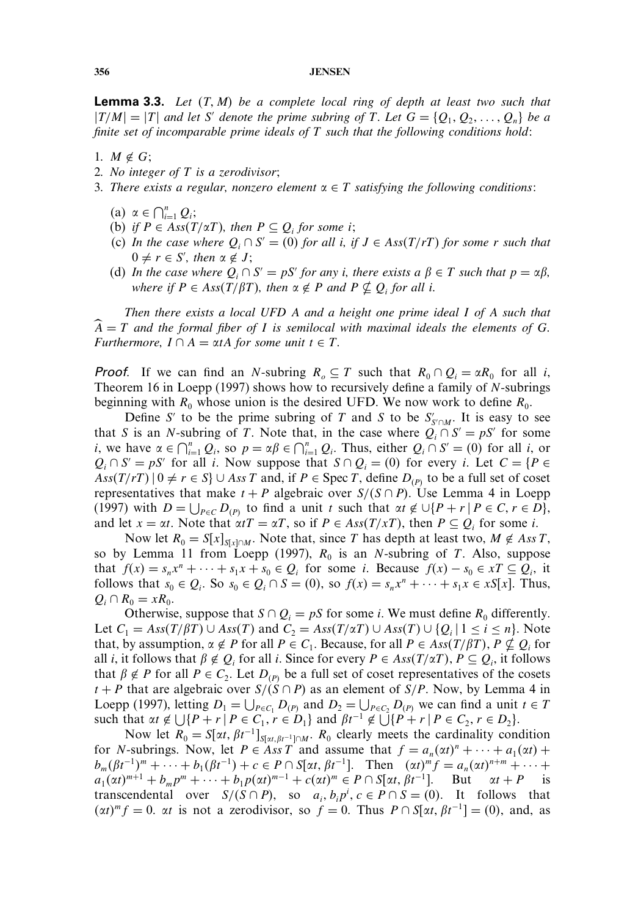**Lemma 3.3.** Let  $(T, M)$  be a complete local ring of depth at least two such that  $|T/M|=|T|$  and let S' denote the prime subring of T. Let  $G = \{Q_1, Q_2, \ldots, Q_n\}$  be a *finite set of incomparable prime ideals of* T *such that the following conditions hold:*

- 1.  $M \notin G$ ;
- *2. No integer of* T *is a zerodivisor;*
- 3. There exists a regular, nonzero element  $\alpha \in T$  satisfying the following conditions:
	- (a)  $\alpha \in \bigcap_{i=1}^{n} Q_i;$
	- (b) *if*  $P \in Ass(T/\alpha T)$ , then  $P \subseteq Q_i$  *for some i*;
	- (c) *In the case where*  $Q_i \cap S' = (0)$  *for all i, if*  $J \in Ass(T/rT)$  *for some r such that*  $0 \neq r \in S'$ , then  $\alpha \notin J$ ;
	- (d) *In the case where*  $Q_i \cap S' = pS'$  *for any i, there exists a*  $\beta \in T$  *such that*  $p = \alpha \beta$ *, where if*  $P \in Ass(T/\beta T)$ , then  $\alpha \notin P$  and  $P \nsubseteq Q_i$  for all i.

*Then there exists a local UFD* A *and a height one prime ideal* I *of* A *such that* A = T *and the formal fiber of* I *is semilocal with maximal ideals the elements of* G*. Furthermore,*  $I \cap A = \alpha tA$  *for some unit*  $t \in T$ *.* 

**Proof.** If we can find an N-subring  $R_0 \subseteq T$  such that  $R_0 \cap Q_i = \alpha R_0$  for all i, Theorem 16 in Loepp (1997) shows how to recursively define a family of N-subrings beginning with  $R_0$  whose union is the desired UFD. We now work to define  $R_0$ .

Define S' to be the prime subring of T and S to be  $S'_{S \cap M}$ . It is easy to see that S is an N-subring of T. Note that, in the case where  $Q_i \cap S' = pS'$  for some *i*, we have  $\alpha \in \bigcap_{i=1}^n Q_i$ , so  $p = \alpha \beta \in \bigcap_{i=1}^n Q_i$ . Thus, either  $Q_i \cap S' = (0)$  for all *i*, or  $Q_i \cap S' = pS'$  for all i. Now suppose that  $S \cap Q_i = (0)$  for every i. Let  $C = \{P \in S : |P| = 1\}$  $Ass(T/rT)$   $0 \neq r \in S$   $\cup$  Ass T and, if  $P \in \text{Spec } T$ , define  $D_{(P)}$  to be a full set of coset representatives that make  $t + P$  algebraic over  $S/(S \cap P)$ . Use Lemma 4 in Loepp (1997) with  $D = \bigcup_{P \in C} D_{(P)}$  to find a unit t such that  $\alpha t \notin \bigcup \{P + r \mid P \in C, r \in D\},\$ and let  $x = \alpha t$ . Note that  $\alpha t = \alpha T$ , so if  $P \in Ass(T/xT)$ , then  $P \subseteq Q_i$  for some i.

Now let  $R_0 = S[x]_{S[x] \cap M}$ . Note that, since T has depth at least two,  $M \notin Ass T$ , so by Lemma 11 from Loepp (1997),  $R_0$  is an N-subring of T. Also, suppose that  $f(x) = s_n x^n + \cdots + s_1 x + s_0 \in Q_i$  for some i. Because  $f(x) - s_0 \in xT \subseteq Q_i$ , it follows that  $s_0 \in Q_i$ . So  $s_0 \in Q_i \cap S = (0)$ , so  $f(x) = s_n x^n + \cdots + s_1 x \in xS[x]$ . Thus,  $Q_i \cap R_0 = xR_0.$ 

Otherwise, suppose that  $S \cap Q_i = pS$  for some *i*. We must define  $R_0$  differently. Let  $C_1 = Ass(T/\beta T) \cup Ass(T)$  and  $C_2 = Ass(T/\alpha T) \cup Ass(T) \cup \{Q_i | 1 \le i \le n\}$ . Note that, by assumption,  $\alpha \notin P$  for all  $P \in C_1$ . Because, for all  $P \in Ass(T/\beta T)$ ,  $P \nsubseteq Q_i$  for all *i*, it follows that  $\beta \notin Q_i$  for all *i*. Since for every  $P \in Ass(T/\alpha T)$ ,  $P \subseteq Q_i$ , it follows that  $\beta \notin P$  for all  $P \in C_2$ . Let  $D_{(P)}$  be a full set of coset representatives of the cosets t + P that are algebraic over  $S/(S \cap P)$  as an element of  $S/P$ . Now, by Lemma 4 in Loepp (1997), letting  $D_1 = \bigcup_{P \in C_1} D_{(P)}$  and  $D_2 = \bigcup_{P \in C_2} D_{(P)}$  we can find a unit  $t \in T$ such that  $\alpha t \notin \bigcup \{P + r \mid P \in C_1, r \in D_1\}$  and  $\beta t^{-1} \notin \bigcup \{P + r \mid P \in C_2, r \in D_2\}.$ 

Now let  $R_0 = S[\alpha t, \beta t^{-1}]_{S[\alpha t, \beta t^{-1}] \cap M}$ .  $R_0$  clearly meets the cardinality condition for *N*-subrings. Now, let  $P \in Ass T$  and assume that  $f = a_n(\alpha t)^n + \cdots + a_1(\alpha t) +$  $b_m(\beta t^{-1})^m + \cdots + b_1(\beta t^{-1}) + c \in P \cap S[\alpha t, \beta t^{-1}].$  Then  $(\alpha t)^m f = a_n(\alpha t)^{n+m} + \cdots +$  $a_1(\alpha t)^{m+1} + b_m p^m + \cdots + b_1 p(\alpha t)^{m-1} + c(\alpha t)^m \in P \cap S[\alpha t, \beta t^{-1}].$  But  $\alpha t + P$  is transcendental over  $S/(S \cap P)$ , so  $a_i, b_i p^i, c \in P \cap S = (0)$ . It follows that  $(\alpha t)^m f = 0$ .  $\alpha t$  is not a zerodivisor, so  $f = 0$ . Thus  $P \cap S[\alpha t, \beta t^{-1}] = (0)$ , and, as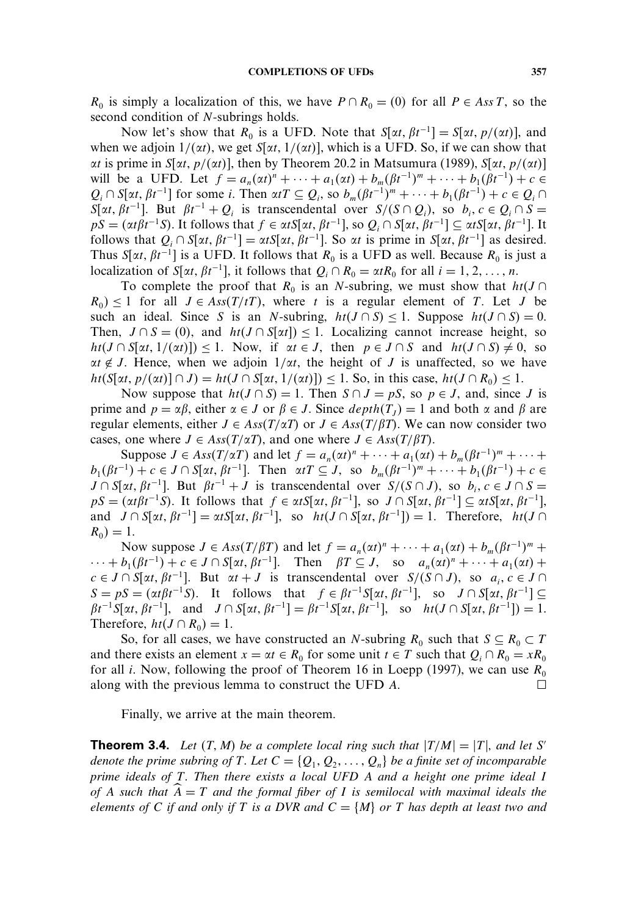$R_0$  is simply a localization of this, we have  $P \cap R_0 = (0)$  for all  $P \in Ass T$ , so the second condition of N-subrings holds.

Now let's show that  $R_0$  is a UFD. Note that  $S[\alpha t, \beta t^{-1}] = S[\alpha t, p/(\alpha t)]$ , and when we adjoin  $1/(\alpha t)$ , we get  $S[\alpha t, 1/(\alpha t)]$ , which is a UFD. So, if we can show that  $\alpha t$  is prime in  $S[\alpha t, p/(\alpha t)]$ , then by Theorem 20.2 in Matsumura (1989),  $S[\alpha t, p/(\alpha t)]$ will be a UFD. Let  $f = a_n(\alpha t)^n + \cdots + a_1(\alpha t) + b_m(\beta t^{-1})^m + \cdots + b_1(\beta t^{-1}) + c \in$  $Q_i \cap S[\alpha t, \beta t^{-1}]$  for some i. Then  $\alpha tT \subseteq Q_i$ , so  $b_m(\beta t^{-1})^m + \cdots + b_1(\beta t^{-1}) + c \in Q_i \cap$  $S[\alpha t, \beta t^{-1}]$ . But  $\beta t^{-1} + Q_i$  is transcendental over  $S/(S \cap Q_i)$ , so  $b_i, c \in Q_i \cap S =$  $pS = (\alpha t \beta t^{-1}S)$ . It follows that  $f \in \alpha tS[\alpha t, \beta t^{-1}]$ , so  $Q_i \cap S[\alpha t, \beta t^{-1}] \subseteq \alpha tS[\alpha t, \beta t^{-1}]$ . It follows that  $Q_i \cap S[\alpha t, \beta t^{-1}] = \alpha t S[\alpha t, \beta t^{-1}]$ . So  $\alpha t$  is prime in  $S[\alpha t, \beta t^{-1}]$  as desired. Thus  $S[\alpha t, \beta t^{-1}]$  is a UFD. It follows that  $R_0$  is a UFD as well. Because  $R_0$  is just a localization of  $S[\alpha t, \beta t^{-1}]$ , it follows that  $Q_i \cap R_0 = \alpha t R_0$  for all  $i = 1, 2, ..., n$ .

To complete the proof that  $R_0$  is an N-subring, we must show that  $ht(J \cap$  $R_0 \leq 1$  for all  $J \in Ass(T/tT)$ , where t is a regular element of T. Let J be such an ideal. Since S is an N-subring,  $ht(J \cap S) \le 1$ . Suppose  $ht(J \cap S) = 0$ . Then,  $J \cap S = (0)$ , and  $ht(J \cap S[\alpha t]) \leq 1$ . Localizing cannot increase height, so  $ht(J \cap S[\alpha t, 1/(\alpha t)]) \le 1$ . Now, if  $\alpha t \in J$ , then  $p \in J \cap S$  and  $ht(J \cap S) \ne 0$ , so  $\alpha t \notin J$ . Hence, when we adjoin  $1/\alpha t$ , the height of J is unaffected, so we have  $ht(S[xt, p/(xt)] \cap J) = ht(J \cap S[xt, 1/(xt)]) \le 1$ . So, in this case,  $ht(J \cap R_0) \le 1$ .

Now suppose that  $ht(J \cap S) = 1$ . Then  $S \cap J = pS$ , so  $p \in J$ , and, since J is prime and  $p = \alpha \beta$ , either  $\alpha \in J$  or  $\beta \in J$ . Since  $depth(T_J) = 1$  and both  $\alpha$  and  $\beta$  are regular elements, either  $J \in Ass(T/\alpha T)$  or  $J \in Ass(T/\beta T)$ . We can now consider two cases, one where  $J \in Ass(T/\alpha T)$ , and one where  $J \in Ass(T/\beta T)$ .

Suppose  $J \in Ass(T/\alpha T)$  and let  $f = a_n(\alpha t)^n + \cdots + a_1(\alpha t) + b_m(\beta t^{-1})^m + \cdots$  $b_1(\beta t^{-1}) + c \in J \cap S[\alpha t, \beta t^{-1}]$ . Then  $\alpha tT \subseteq J$ , so  $b_m(\beta t^{-1})^m + \cdots + b_1(\beta t^{-1}) + c \in$  $J \cap S[\alpha t, \beta t^{-1}]$ . But  $\beta t^{-1} + J$  is transcendental over  $S/(S \cap J)$ , so  $b_i, c \in J \cap S =$  $pS = (\alpha t \beta t^{-1}S)$ . It follows that  $f \in \alpha tS[\alpha t, \beta t^{-1}]$ , so  $J \cap S[\alpha t, \beta t^{-1}] \subseteq \alpha tS[\alpha t, \beta t^{-1}]$ , and  $J \cap S[\alpha t, \beta t^{-1}] = \alpha t S[\alpha t, \beta t^{-1}],$  so  $ht(J \cap S[\alpha t, \beta t^{-1}]) = 1$ . Therefore,  $ht(J \cap S[\alpha t, \beta t^{-1}]) = 1$ .  $R_0 = 1.$ 

Now suppose  $J \in Ass(T/\beta T)$  and let  $f = a_n(\alpha t)^n + \cdots + a_1(\alpha t) + b_m(\beta t^{-1})^m +$  $\cdots + b_1(\beta t^{-1}) + c \in J \cap S[\alpha t, \beta t^{-1}].$  Then  $\beta T \subseteq J$ , so  $a_n(\alpha t)^n + \cdots + a_1(\alpha t) + c$  $c \in J \cap S[\alpha t, \beta t^{-1}]$ . But  $\alpha t + J$  is transcendental over  $S/(S \cap J)$ , so  $a_i, c \in J \cap J$  $S = pS = (\alpha t \beta t^{-1} S)$ . It follows that  $f \in \beta t^{-1} S[\alpha t, \beta t^{-1}]$ , so  $J \cap S[\alpha t, \beta t^{-1}] \subseteq$  $\beta t^{-1} S[\alpha t, \beta t^{-1}],$  and  $J \cap S[\alpha t, \beta t^{-1}] = \beta t^{-1} S[\alpha t, \beta t^{-1}],$  so  $ht(J \cap S[\alpha t, \beta t^{-1}]) = 1.$ Therefore,  $ht(J \cap R_0) = 1$ .

So, for all cases, we have constructed an N-subring  $R_0$  such that  $S \subseteq R_0 \subset T$ and there exists an element  $x = \alpha t \in R_0$  for some unit  $t \in T$  such that  $Q_i \cap R_0 = xR_0$ for all i. Now, following the proof of Theorem 16 in Loepp (1997), we can use  $R_0$ along with the previous lemma to construct the UFD  $\overline{A}$ .  $\Box$ 

Finally, we arrive at the main theorem.

**Theorem 3.4.** Let  $(T, M)$  be a complete local ring such that  $|T/M|=|T|$ , and let S' denote the prime subring of T. Let  $C = \{Q_1, Q_2, \ldots, Q_n\}$  be a finite set of incomparable *prime ideals of* T*. Then there exists a local UFD* A *and a height one prime ideal* I *of* A *such that* A = T *and the formal fiber of* I *is semilocal with maximal ideals the elements of* C *if and only if* T *is a DVR and*  $C = \{M\}$  *or* T *has depth at least two and*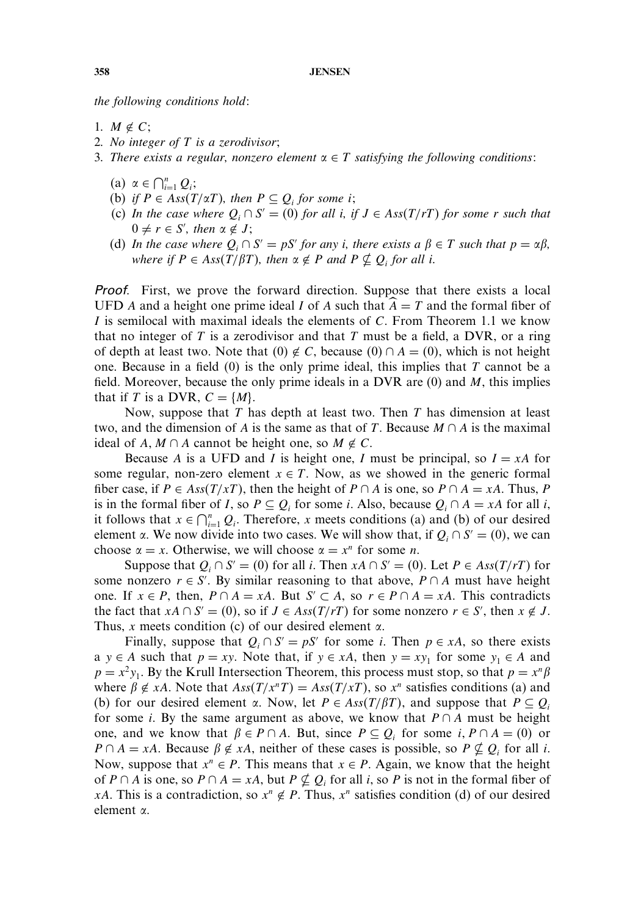*the following conditions hold:*

- 1.  $M \notin C$ ;
- *2. No integer of* T *is a zerodivisor;*
- 3. There exists a regular, nonzero element  $\alpha \in T$  satisfying the following conditions:
	- (a)  $\alpha \in \bigcap_{i=1}^{n} Q_i;$
	- (b) *if*  $P \in Ass(T/\alpha T)$ , then  $P \subseteq Q_i$  for some *i*;
	- (c) *In the case where*  $Q_i \cap S' = (0)$  *for all i, if*  $J \in Ass(T/rT)$  *for some r such that*  $0 \neq r \in S'$ , then  $\alpha \notin J$ ;
	- (d) *In the case where*  $Q_i \cap S' = pS'$  *for any i, there exists a*  $\beta \in T$  *such that*  $p = \alpha \beta$ *,*  $where \text{ if } P \in Ass(T/\beta T), \text{ then } \alpha \notin P \text{ and } P \nsubseteq Q_i \text{ for all } i.$

Proof. First, we prove the forward direction. Suppose that there exists a local UFD A and a height one prime ideal I of A such that  $A = T$  and the formal fiber of I is semilocal with maximal ideals the elements of C. From Theorem 1.1 we know that no integer of T is a zerodivisor and that T must be a field, a DVR, or a ring of depth at least two. Note that  $(0) \notin C$ , because  $(0) \cap A = (0)$ , which is not height one. Because in a field  $(0)$  is the only prime ideal, this implies that T cannot be a field. Moreover, because the only prime ideals in a DVR are  $(0)$  and  $M$ , this implies that if T is a DVR,  $C = \{M\}$ .

Now, suppose that  $T$  has depth at least two. Then  $T$  has dimension at least two, and the dimension of A is the same as that of T. Because  $M \cap A$  is the maximal ideal of  $A, M \cap A$  cannot be height one, so  $M \notin C$ .

Because A is a UFD and I is height one, I must be principal, so  $I = xA$  for some regular, non-zero element  $x \in T$ . Now, as we showed in the generic formal fiber case, if  $P \in Ass(T/xT)$ , then the height of  $P \cap A$  is one, so  $P \cap A = xA$ . Thus, P is in the formal fiber of I, so  $P \subseteq Q_i$  for some i. Also, because  $Q_i \cap A = xA$  for all i, it follows that  $x \in \bigcap_{i=1}^n Q_i$ . Therefore, x meets conditions (a) and (b) of our desired element  $\alpha$ . We now divide into two cases. We will show that, if  $Q_i \cap S' = (0)$ , we can choose  $\alpha = x$ . Otherwise, we will choose  $\alpha = x^n$  for some *n*.

Suppose that  $Q_i \cap S' = (0)$  for all *i*. Then  $xA \cap S' = (0)$ . Let  $P \in Ass(T/rT)$  for some nonzero  $r \in S'$ . By similar reasoning to that above,  $P \cap A$  must have height one. If  $x \in P$ , then,  $P \cap A = xA$ . But  $S' \subset A$ , so  $r \in P \cap A = xA$ . This contradicts the fact that  $xA \cap S' = (0)$ , so if  $J \in Ass(T/rT)$  for some nonzero  $r \in S'$ , then  $x \notin J$ . Thus, x meets condition (c) of our desired element  $\alpha$ .

Finally, suppose that  $Q_i \cap S' = pS'$  for some *i*. Then  $p \in xA$ , so there exists a y ∈ A such that  $p = xy$ . Note that, if  $y \in xA$ , then  $y = xy_1$  for some  $y_1 \in A$  and  $p = x^2y_1$ . By the Krull Intersection Theorem, this process must stop, so that  $p = x^n\beta$ where  $\beta \notin xA$ . Note that  $Ass(T/x^nT) = Ass(T/xT)$ , so  $x^n$  satisfies conditions (a) and (b) for our desired element  $\alpha$ . Now, let  $P \in Ass(T/\beta T)$ , and suppose that  $P \subseteq Q_i$ for some *i*. By the same argument as above, we know that  $P \cap A$  must be height one, and we know that  $\beta \in P \cap A$ . But, since  $P \subseteq Q_i$  for some  $i, P \cap A = (0)$  or  $P \cap A = xA$ . Because  $\beta \notin xA$ , neither of these cases is possible, so  $P \nsubseteq Q_i$  for all i. Now, suppose that  $x^n \in P$ . This means that  $x \in P$ . Again, we know that the height of P ∩ A is one, so P ∩ A = xA, but P  $\nsubseteq Q_i$  for all i, so P is not in the formal fiber of xA. This is a contradiction, so  $x^n \notin P$ . Thus,  $x^n$  satisfies condition (d) of our desired element .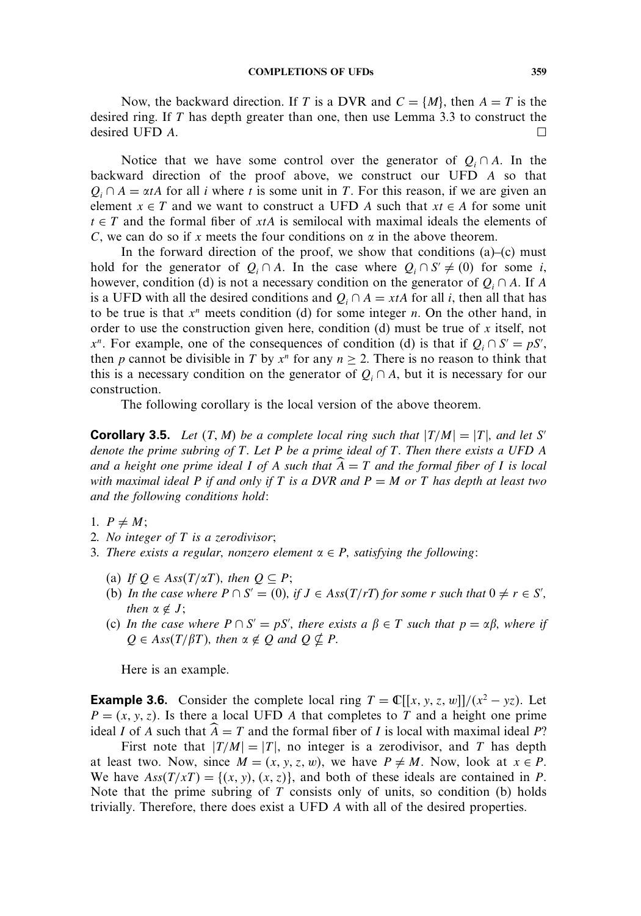Now, the backward direction. If T is a DVR and  $C = \{M\}$ , then  $A = T$  is the desired ring. If T has depth greater than one, then use Lemma 3.3 to construct the desired UFD  $A$ .

Notice that we have some control over the generator of  $Q_i \cap A$ . In the backward direction of the proof above, we construct our UFD A so that  $Q_i \cap A = \alpha tA$  for all *i* where *t* is some unit in *T*. For this reason, if we are given an element  $x \in T$  and we want to construct a UFD A such that  $xt \in A$  for some unit  $t \in T$  and the formal fiber of xtA is semilocal with maximal ideals the elements of C, we can do so if x meets the four conditions on  $\alpha$  in the above theorem.

In the forward direction of the proof, we show that conditions  $(a)$ – $(c)$  must hold for the generator of  $Q_i \cap A$ . In the case where  $Q_i \cap S' \neq (0)$  for some i, however, condition (d) is not a necessary condition on the generator of  $Q_i \cap A$ . If A is a UFD with all the desired conditions and  $Q_i \cap A = xtA$  for all *i*, then all that has to be true is that  $x^n$  meets condition (d) for some integer n. On the other hand, in order to use the construction given here, condition (d) must be true of x itself, not  $x^n$ . For example, one of the consequences of condition (d) is that if  $Q_i \cap S' = pS'$ , then p cannot be divisible in T by  $x^n$  for any  $n \ge 2$ . There is no reason to think that this is a necessary condition on the generator of  $Q_i \cap A$ , but it is necessary for our construction.

The following corollary is the local version of the above theorem.

**Corollary 3.5.** Let  $(T, M)$  be a complete local ring such that  $|T/M|=|T|$ , and let S' *denote the prime subring of* T*. Let* P *be a prime ideal of* T*. Then there exists a UFD* A *and a height one prime ideal* I *of* A *such that* A = T *and the formal fiber of* I *is local with maximal ideal* P *if and only if* T *is a DVR and* P = M *or* T *has depth at least two and the following conditions hold:*

1.  $P \neq M$ ;

- *2. No integer of* T *is a zerodivisor;*
- *3. There exists a regular, nonzero element* ∈ P*, satisfying the following:*
	- (a) If  $Q \in Ass(T/\alpha T)$ , then  $Q \subseteq P$ ;
	- (b) *In the case where*  $P \cap S' = (0)$ , if  $J \in Ass(T/rT)$  for some r such that  $0 \neq r \in S'$ , *then*  $\alpha \notin J$ ;
	- (c) *In the case where*  $P \cap S' = pS'$ , there exists a  $\beta \in T$  such that  $p = \alpha \beta$ , where if  $Q \in Ass(T/\beta T)$ , then  $\alpha \notin Q$  and  $Q \nsubseteq P$ .

Here is an example.

**Example 3.6.** Consider the complete local ring  $T = \mathbb{C}[[x, y, z, w]]/(x^2 - yz)$ . Let  $P = (x, y, z)$ . Is there a local UFD A that completes to T and a height one prime ideal I of A such that  $\hat{A} = T$  and the formal fiber of I is local with maximal ideal P?

First note that  $|T/M|=|T|$ , no integer is a zerodivisor, and T has depth at least two. Now, since  $M = (x, y, z, w)$ , we have  $P \neq M$ . Now, look at  $x \in P$ . We have  $Ass(T/xT) = \{(x, y), (x, z)\}\$ , and both of these ideals are contained in P. Note that the prime subring of  $T$  consists only of units, so condition (b) holds trivially. Therefore, there does exist a UFD A with all of the desired properties.